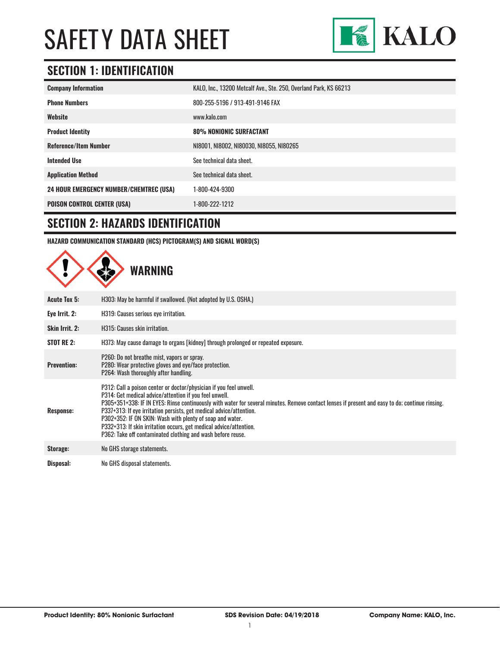

### **SECTION 1: IDENTIFICATION**

| <b>Company Information</b>                     | KALO, Inc., 13200 Metcalf Ave., Ste. 250, Overland Park, KS 66213 |
|------------------------------------------------|-------------------------------------------------------------------|
| <b>Phone Numbers</b>                           | 800-255-5196 / 913-491-9146 FAX                                   |
| Website                                        | www.kalo.com                                                      |
| <b>Product Identity</b>                        | <b>80% NONIONIC SURFACTANT</b>                                    |
| <b>Reference/Item Number</b>                   | N18001, N18002, N180030, N18055, N180265                          |
| <b>Intended Use</b>                            | See technical data sheet.                                         |
| <b>Application Method</b>                      | See technical data sheet.                                         |
| <b>24 HOUR EMERGENCY NUMBER/CHEMTREC (USA)</b> | 1-800-424-9300                                                    |
| <b>POISON CONTROL CENTER (USA)</b>             | 1-800-222-1212                                                    |

#### **SECTION 2: HAZARDS IDENTIFICATION**

**HAZARD COMMUNICATION STANDARD (HCS) PICTOGRAM(S) AND SIGNAL WORD(S)**

|                     | <b>WARNING</b>                                                                                                                                                                                                                                                                                                                                                                                                                                                                                                                                           |
|---------------------|----------------------------------------------------------------------------------------------------------------------------------------------------------------------------------------------------------------------------------------------------------------------------------------------------------------------------------------------------------------------------------------------------------------------------------------------------------------------------------------------------------------------------------------------------------|
| <b>Acute Tox 5:</b> | H303: May be harmful if swallowed. (Not adopted by U.S. OSHA.)                                                                                                                                                                                                                                                                                                                                                                                                                                                                                           |
| Eye Irrit. 2:       | H319: Causes serious eye irritation.                                                                                                                                                                                                                                                                                                                                                                                                                                                                                                                     |
| Skin Irrit. 2:      | H315: Causes skin irritation.                                                                                                                                                                                                                                                                                                                                                                                                                                                                                                                            |
| <b>STOT RE 2:</b>   | H373: May cause damage to organs [kidney] through prolonged or repeated exposure.                                                                                                                                                                                                                                                                                                                                                                                                                                                                        |
| <b>Prevention:</b>  | P260: Do not breathe mist, vapors or spray.<br>P280: Wear protective gloves and eye/face protection.<br>P264: Wash thoroughly after handling.                                                                                                                                                                                                                                                                                                                                                                                                            |
| <b>Response:</b>    | P312: Call a poison center or doctor/physician if you feel unwell.<br>P314: Get medical advice/attention if you feel unwell.<br>P305+351+338: IF IN EYES: Rinse continuously with water for several minutes. Remove contact lenses if present and easy to do; continue rinsing.<br>P337+313: If eye irritation persists, get medical advice/attention.<br>P302+352: IF ON SKIN: Wash with plenty of soap and water.<br>P332+313: If skin irritation occurs, get medical advice/attention.<br>P362: Take off contaminated clothing and wash before reuse. |
| Storage:            | No GHS storage statements.                                                                                                                                                                                                                                                                                                                                                                                                                                                                                                                               |
| Disposal:           | No GHS disposal statements.                                                                                                                                                                                                                                                                                                                                                                                                                                                                                                                              |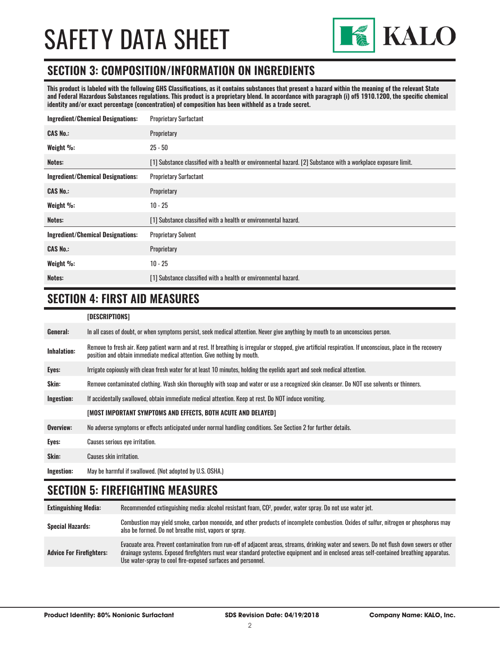

#### **SECTION 3: COMPOSITION/INFORMATION ON INGREDIENTS**

**This product is labeled with the following GHS Classifications, as it contains substances that present a hazard within the meaning of the relevant State and Federal Hazardous Substances regulations. This product is a proprietary blend. In accordance with paragraph (i) of§ 1910.1200, the specific chemical identity and/or exact percentage (concentration) of composition has been withheld as a trade secret.**

| <b>Ingredient/Chemical Designations:</b> | <b>Proprietary Surfactant</b>                                                                                  |  |
|------------------------------------------|----------------------------------------------------------------------------------------------------------------|--|
| <b>CAS No.:</b>                          | Proprietary                                                                                                    |  |
| Weight %:                                | $25 - 50$                                                                                                      |  |
| Notes:                                   | [1] Substance classified with a health or environmental hazard. [2] Substance with a workplace exposure limit. |  |
| <b>Ingredient/Chemical Designations:</b> | <b>Proprietary Surfactant</b>                                                                                  |  |
| <b>CAS No.:</b>                          | Proprietary                                                                                                    |  |
| Weight %:                                | $10 - 25$                                                                                                      |  |
| Notes:                                   | [1] Substance classified with a health or environmental hazard.                                                |  |
| <b>Ingredient/Chemical Designations:</b> | <b>Proprietary Solvent</b>                                                                                     |  |
| <b>CAS No.:</b>                          | Proprietary                                                                                                    |  |
| Weight %:                                | $10 - 25$                                                                                                      |  |
| Notes:                                   | [1] Substance classified with a health or environmental hazard.                                                |  |

### **SECTION 4: FIRST AID MEASURES**

#### **[DESCRIPTIONS]**

| General:           | In all cases of doubt, or when symptoms persist, seek medical attention. Never give anything by mouth to an unconscious person.                                                                                                         |
|--------------------|-----------------------------------------------------------------------------------------------------------------------------------------------------------------------------------------------------------------------------------------|
| <b>Inhalation:</b> | Remove to fresh air. Keep patient warm and at rest. If breathing is irregular or stopped, give artificial respiration. If unconscious, place in the recovery<br>position and obtain immediate medical attention. Give nothing by mouth. |
| Eyes:              | Irrigate copiously with clean fresh water for at least 10 minutes, holding the eyelids apart and seek medical attention.                                                                                                                |
| <b>Skin:</b>       | Remove contaminated clothing. Wash skin thoroughly with soap and water or use a recognized skin cleanser. Do NOT use solvents or thinners.                                                                                              |
| Ingestion:         | If accidentally swallowed, obtain immediate medical attention. Keep at rest, Do NOT induce vomiting.                                                                                                                                    |
|                    | [MOST IMPORTANT SYMPTOMS AND EFFECTS, BOTH ACUTE AND DELAYED]                                                                                                                                                                           |
| Overview:          | No adverse symptoms or effects anticipated under normal handling conditions. See Section 2 for further details.                                                                                                                         |
| Eyes:              | Causes serious eye irritation.                                                                                                                                                                                                          |
| Skin:              | Causes skin irritation.                                                                                                                                                                                                                 |
| Ingestion:         | May be harmful if swallowed. (Not adopted by U.S. OSHA.)                                                                                                                                                                                |

#### **SECTION 5: FIREFIGHTING MEASURES**

| <b>Extinguishing Media:</b>     | Recommended extinguishing media: alcohol resistant foam, $CO2$ , powder, water spray. Do not use water jet.                                                                                                                                                                                                                                            |
|---------------------------------|--------------------------------------------------------------------------------------------------------------------------------------------------------------------------------------------------------------------------------------------------------------------------------------------------------------------------------------------------------|
| <b>Special Hazards:</b>         | Combustion may yield smoke, carbon monoxide, and other products of incomplete combustion. Oxides of sulfur, nitrogen or phosphorus may<br>also be formed. Do not breathe mist, vapors or spray.                                                                                                                                                        |
| <b>Advice For Firefighters:</b> | Evacuate area. Prevent contamination from run-off of adjacent areas, streams, drinking water and sewers. Do not flush down sewers or other<br>drainage systems. Exposed firefighters must wear standard protective equipment and in enclosed areas self-contained breathing apparatus.<br>Use water-spray to cool fire-exposed surfaces and personnel. |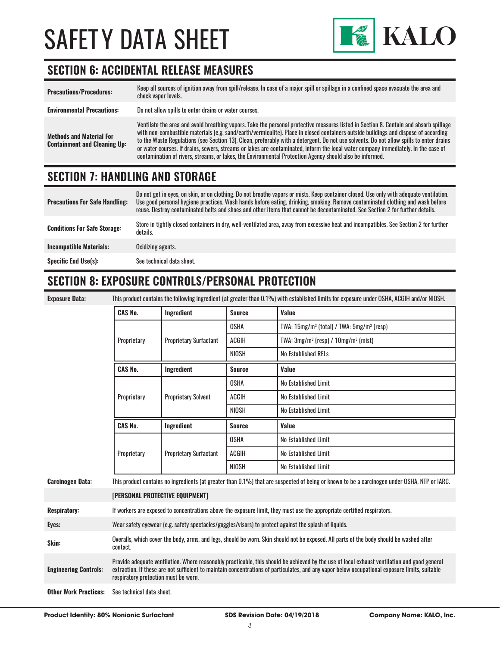

### **SECTION 6: ACCIDENTAL RELEASE MEASURES**

| <b>Precautions/Procedures:</b>                                         | Keep all sources of ignition away from spill/release. In case of a major spill or spillage in a confined space evacuate the area and<br>check vapor levels.                                                                                                                                                                                                                                                                                                                                                                                                                                                                                                               |
|------------------------------------------------------------------------|---------------------------------------------------------------------------------------------------------------------------------------------------------------------------------------------------------------------------------------------------------------------------------------------------------------------------------------------------------------------------------------------------------------------------------------------------------------------------------------------------------------------------------------------------------------------------------------------------------------------------------------------------------------------------|
| <b>Environmental Precautions:</b>                                      | Do not allow spills to enter drains or water courses.                                                                                                                                                                                                                                                                                                                                                                                                                                                                                                                                                                                                                     |
| <b>Methods and Material For</b><br><b>Containment and Cleaning Up:</b> | Ventilate the area and avoid breathing vapors. Take the personal protective measures listed in Section 8. Contain and absorb spillage<br>with non-combustible materials (e.g. sand/earth/vermiculite). Place in closed containers outside buildings and dispose of according<br>to the Waste Regulations (see Section 13). Clean, preferably with a detergent. Do not use solvents. Do not allow spills to enter drains<br>or water courses. If drains, sewers, streams or lakes are contaminated, inform the local water company immediately. In the case of<br>contamination of rivers, streams, or lakes, the Environmental Protection Agency should also be informed. |

#### **SECTION 7: HANDLING AND STORAGE**

| <b>Precautions For Safe Handling:</b> | Do not get in eyes, on skin, or on clothing. Do not breathe vapors or mists. Keep container closed. Use only with adequate ventilation.<br>Use good personal hygiene practices. Wash hands before eating, drinking, smoking. Remove contaminated clothing and wash before<br>reuse. Destroy contaminated belts and shoes and other items that cannot be decontaminated. See Section 2 for further details. |
|---------------------------------------|------------------------------------------------------------------------------------------------------------------------------------------------------------------------------------------------------------------------------------------------------------------------------------------------------------------------------------------------------------------------------------------------------------|
| <b>Conditions For Safe Storage:</b>   | Store in tightly closed containers in dry, well-ventilated area, away from excessive heat and incompatibles. See Section 2 for further<br>details.                                                                                                                                                                                                                                                         |
| <b>Incompatible Materials:</b>        | Oxidizing agents.                                                                                                                                                                                                                                                                                                                                                                                          |
| <b>Specific End Use(s):</b>           | See technical data sheet.                                                                                                                                                                                                                                                                                                                                                                                  |

### **SECTION 8: EXPOSURE CONTROLS/PERSONAL PROTECTION**

**Exposure Data:** This product contains the following ingredient (at greater than 0.1%) with established limits for exposure under OSHA, ACGIH and/or NIOSH.

|                              | <b>CAS No.</b>                                                                                                                                                                                                                                                                                                                         | Ingredient                    | <b>Source</b> | Value                                           |
|------------------------------|----------------------------------------------------------------------------------------------------------------------------------------------------------------------------------------------------------------------------------------------------------------------------------------------------------------------------------------|-------------------------------|---------------|-------------------------------------------------|
|                              |                                                                                                                                                                                                                                                                                                                                        | <b>Proprietary Surfactant</b> | <b>OSHA</b>   | TWA: $15mg/m^3$ (total) / TWA: $5mg/m^3$ (resp) |
|                              | Proprietary                                                                                                                                                                                                                                                                                                                            |                               | ACGIH         | TWA: $3mg/m^3$ (resp) / $10mg/m^3$ (mist)       |
|                              |                                                                                                                                                                                                                                                                                                                                        |                               | <b>NIOSH</b>  | <b>No Established RELs</b>                      |
|                              | <b>CAS No.</b>                                                                                                                                                                                                                                                                                                                         | Ingredient                    | <b>Source</b> | Value                                           |
|                              |                                                                                                                                                                                                                                                                                                                                        |                               | <b>OSHA</b>   | No Established Limit                            |
|                              | Proprietary                                                                                                                                                                                                                                                                                                                            | <b>Proprietary Solvent</b>    | ACGIH         | No Established Limit                            |
|                              |                                                                                                                                                                                                                                                                                                                                        |                               | <b>NIOSH</b>  | No Established Limit                            |
|                              | <b>CAS No.</b>                                                                                                                                                                                                                                                                                                                         | Ingredient                    | <b>Source</b> | Value                                           |
|                              |                                                                                                                                                                                                                                                                                                                                        | <b>Proprietary Surfactant</b> | <b>OSHA</b>   | No Established Limit                            |
|                              | Proprietary                                                                                                                                                                                                                                                                                                                            |                               | <b>ACGIH</b>  | No Established Limit                            |
|                              |                                                                                                                                                                                                                                                                                                                                        |                               | NIOSH         | No Established Limit                            |
| <b>Carcinogen Data:</b>      | This product contains no ingredients (at greater than 0.1%) that are suspected of being or known to be a carcinogen under OSHA, NTP or IARC.                                                                                                                                                                                           |                               |               |                                                 |
|                              | [PERSONAL PROTECTIVE EQUIPMENT]                                                                                                                                                                                                                                                                                                        |                               |               |                                                 |
| <b>Respiratory:</b>          | If workers are exposed to concentrations above the exposure limit, they must use the appropriate certified respirators.                                                                                                                                                                                                                |                               |               |                                                 |
| Eyes:                        | Wear safety eyewear (e.g. safety spectacles/goggles/visors) to protect against the splash of liquids.                                                                                                                                                                                                                                  |                               |               |                                                 |
| Skin:                        | Overalls, which cover the body, arms, and legs, should be worn. Skin should not be exposed. All parts of the body should be washed after<br>contact.                                                                                                                                                                                   |                               |               |                                                 |
| <b>Engineering Controls:</b> | Provide adequate ventilation. Where reasonably practicable, this should be achieved by the use of local exhaust ventilation and good general<br>extraction. If these are not sufficient to maintain concentrations of particulates, and any vapor below occupational exposure limits, suitable<br>respiratory protection must be worn. |                               |               |                                                 |
| <b>Other Work Practices:</b> | See technical data sheet.                                                                                                                                                                                                                                                                                                              |                               |               |                                                 |

**Product Identity: 80% Nonionic Surfactant SDS Revision Date: 04/19/2018 Company Name: KALO, Inc.**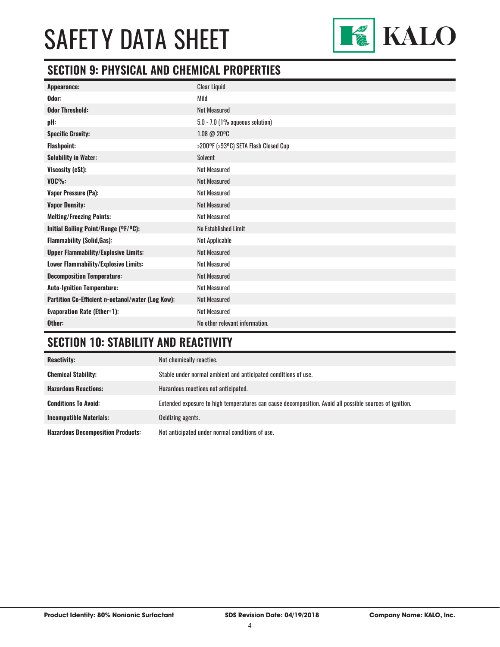

### **SECTION 9: PHYSICAL AND CHEMICAL PROPERTIES**

| Appearance:                                       | <b>Clear Liquid</b>                  |
|---------------------------------------------------|--------------------------------------|
| Odor:                                             | Mild                                 |
| <b>Odor Threshold:</b>                            | <b>Not Measured</b>                  |
| pH:                                               | $5.0 - 7.0$ (1% aqueous solution)    |
| <b>Specific Gravity:</b>                          | 1.08 @ 20°C                          |
| <b>Flashpoint:</b>                                | >200°F (>93°C) SETA Flash Closed Cup |
| <b>Solubility in Water:</b>                       | <b>Solvent</b>                       |
| Viscosity (cSt):                                  | <b>Not Measured</b>                  |
| $VOC\%$ :                                         | <b>Not Measured</b>                  |
| Vapor Pressure (Pa):                              | <b>Not Measured</b>                  |
| <b>Vapor Density:</b>                             | <b>Not Measured</b>                  |
| <b>Melting/Freezing Points:</b>                   | <b>Not Measured</b>                  |
| Initial Boiling Point/Range (OF/OC):              | No Established Limit                 |
| <b>Flammability (Solid, Gas):</b>                 | Not Applicable                       |
| <b>Upper Flammability/Explosive Limits:</b>       | <b>Not Measured</b>                  |
| Lower Flammability/Explosive Limits:              | <b>Not Measured</b>                  |
| <b>Decomposition Temperature:</b>                 | <b>Not Measured</b>                  |
| <b>Auto-Ignition Temperature:</b>                 | <b>Not Measured</b>                  |
| Partition Co-Efficient n-octanol/water (Log Kow): | <b>Not Measured</b>                  |
| <b>Evaporation Rate (Ether=1):</b>                | <b>Not Measured</b>                  |
| Other:                                            | No other relevant information.       |

### **SECTION 10: STABILITY AND REACTIVITY**

| <b>Reactivity:</b>                       | Not chemically reactive.                                                                                |
|------------------------------------------|---------------------------------------------------------------------------------------------------------|
| <b>Chemical Stability:</b>               | Stable under normal ambient and anticipated conditions of use.                                          |
| <b>Hazardous Reactions:</b>              | Hazardous reactions not anticipated.                                                                    |
| <b>Conditions To Avoid:</b>              | Extended exposure to high temperatures can cause decomposition. Avoid all possible sources of ignition. |
| <b>Incompatible Materials:</b>           | Oxidizing agents.                                                                                       |
| <b>Hazardous Decomposition Products:</b> | Not anticipated under normal conditions of use.                                                         |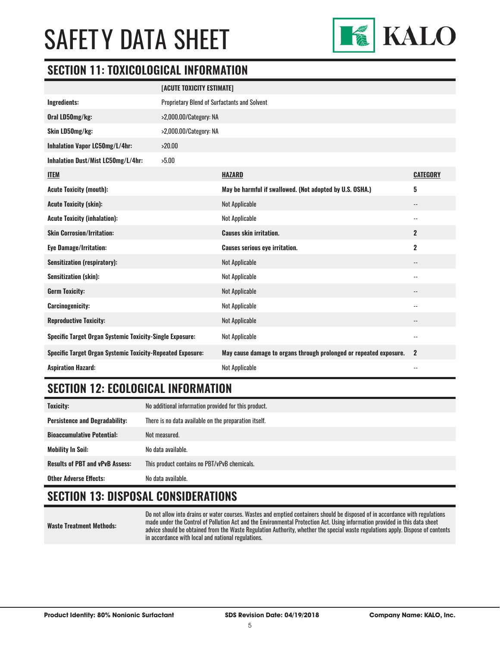

### **SECTION 11: TOXICOLOGICAL INFORMATION**

|                                                                   | [ACUTE TOXICITY ESTIMATE]                    |                                                                    |                          |
|-------------------------------------------------------------------|----------------------------------------------|--------------------------------------------------------------------|--------------------------|
| Ingredients:                                                      | Proprietary Blend of Surfactants and Solvent |                                                                    |                          |
| Oral LD50mg/kg:                                                   | >2,000.00/Category: NA                       |                                                                    |                          |
| Skin LD50mg/kg:                                                   | >2,000.00/Category: NA                       |                                                                    |                          |
| Inhalation Vapor LC50mg/L/4hr:                                    | >20.00                                       |                                                                    |                          |
| Inhalation Dust/Mist LC50mg/L/4hr:                                | >5.00                                        |                                                                    |                          |
| <b>ITEM</b>                                                       |                                              | <b>HAZARD</b>                                                      | <b>CATEGORY</b>          |
| <b>Acute Toxicity (mouth):</b>                                    |                                              | May be harmful if swallowed. (Not adopted by U.S. OSHA.)           | 5                        |
| <b>Acute Toxicity (skin):</b>                                     |                                              | Not Applicable                                                     | --                       |
| <b>Acute Toxicity (inhalation):</b>                               |                                              | Not Applicable                                                     | $\overline{\phantom{a}}$ |
| <b>Skin Corrosion/Irritation:</b>                                 |                                              | <b>Causes skin irritation.</b>                                     | $\overline{2}$           |
| <b>Eye Damage/Irritation:</b>                                     |                                              | <b>Causes serious eye irritation.</b>                              | $\overline{2}$           |
| <b>Sensitization (respiratory):</b>                               |                                              | Not Applicable                                                     | $-$                      |
| <b>Sensitization (skin):</b>                                      |                                              | Not Applicable                                                     | $-$                      |
| <b>Germ Toxicity:</b>                                             |                                              | Not Applicable                                                     | $\overline{\phantom{a}}$ |
| <b>Carcinogenicity:</b>                                           |                                              | Not Applicable                                                     | $\overline{\phantom{a}}$ |
| <b>Reproductive Toxicity:</b>                                     |                                              | Not Applicable                                                     | --                       |
| <b>Specific Target Organ Systemic Toxicity-Single Exposure:</b>   |                                              | Not Applicable                                                     | $\overline{\phantom{a}}$ |
| <b>Specific Target Organ Systemic Toxicity-Repeated Exposure:</b> |                                              | May cause damage to organs through prolonged or repeated exposure. | $\mathbf{2}$             |
| <b>Aspiration Hazard:</b>                                         |                                              | Not Applicable                                                     | $\overline{\phantom{a}}$ |

### **SECTION 12: ECOLOGICAL INFORMATION**

| <b>Toxicity:</b>                       | No additional information provided for this product.  |
|----------------------------------------|-------------------------------------------------------|
| <b>Persistence and Degradability:</b>  | There is no data available on the preparation itself. |
| <b>Bioaccumulative Potential:</b>      | Not measured.                                         |
| <b>Mobility In Soil:</b>               | No data available.                                    |
| <b>Results of PBT and vPvB Assess:</b> | This product contains no PBT/vPvB chemicals.          |
| <b>Other Adverse Effects:</b>          | No data available.                                    |

### **SECTION 13: DISPOSAL CONSIDERATIONS**

**Waste Treatment Methods:**

Do not allow into drains or water courses. Wastes and emptied containers should be disposed of in accordance with regulations made under the Control of Pollution Act and the Environmental Protection Act. Using information provided in this data sheet advice should be obtained from the Waste Regulation Authority, whether the special waste regulations apply. Dispose of contents in accordance with local and national regulations.